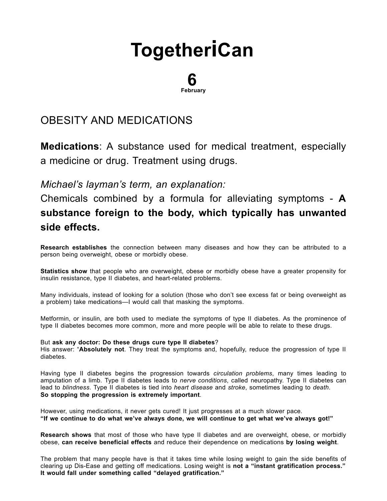# **[Together](http://togetherican.com/)iCan**

#### 6 February

## OBESITY AND [MEDICATIONS](file:///E:/GilbertStudios/clients/michaelMcCright/togetherican.com/wwwroot/events-180206c-Obesity-and-Medications.html)

Medications: A substance used for medical treatment, especially a medicine or drug. Treatment using drugs.

Michael's layman's term, an explanation:

## Chemicals combined by a formula for alleviating symptoms - A substance foreign to the body, which typically has unwanted side effects.

Research establishes the connection between many diseases and how they can be attributed to a person being overweight, obese or morbidly obese.

Statistics show that people who are overweight, obese or morbidly obese have a greater propensity for insulin resistance, type II diabetes, and heart-related problems.

Many individuals, instead of looking for a solution (those who don't see excess fat or being overweight as a problem) take medications—I would call that masking the symptoms.

Metformin, or insulin, are both used to mediate the symptoms of type II diabetes. As the prominence of type II diabetes becomes more common, more and more people will be able to relate to these drugs.

### But ask any doctor: Do these drugs cure type II diabetes?

His answer: "Absolutely not. They treat the symptoms and, hopefully, reduce the progression of type II diabetes.

Having type II diabetes begins the progression towards *circulation problems*, many times leading to amputation of a limb. Type II diabetes leads to nerve conditions, called neuropathy. Type II diabetes can lead to blindness. Type II diabetes is tied into heart disease and stroke, sometimes leading to death. So stopping the progression is extremely important.

However, using medications, it never gets cured! It just progresses at a much slower pace. "If we continue to do what we've always done, we will continue to get what we've always got!"

Research shows that most of those who have type II diabetes and are overweight, obese, or morbidly obese, can receive beneficial effects and reduce their dependence on medications by losing weight.

The problem that many people have is that it takes time while losing weight to gain the side benefits of clearing up Dis-Ease and getting off medications. Losing weight is not a "instant gratification process." It would fall under something called "delayed gratification."